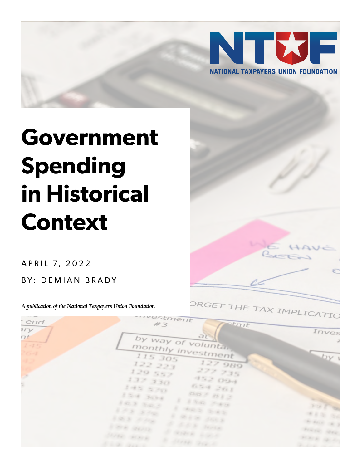

# **Government Spending in Historical Context**

A P R I L 7, 2022

BY: DEMIAN BRADY

*A publication of the National Taxpayers Union Foundation*



| end             | -::vestment<br>$\epsilon$ tmt<br>#3                     | $-$ -110                             |
|-----------------|---------------------------------------------------------|--------------------------------------|
| $n_{Y}$<br>7t   | at                                                      | Inves<br>$\mathcal{L}_{\mathcal{I}}$ |
| $1 - 75$<br>264 | by way of voluntar<br>monthly investment                |                                      |
|                 | 115 305<br>127 989                                      | $-by$                                |
| ×               | 122221<br>277 735<br>129.557                            |                                      |
|                 | 4.2004<br>137.330                                       |                                      |
|                 | <b>DEN JOI</b><br>145.500<br>000 - 01 3<br>$254 - 3044$ |                                      |
|                 | 8 8 tons 2-km<br>103 303<br>E NOS SAS                   | 238 34                               |
|                 | $8.5.8 - 3.446$<br>are many<br>$-0.8$ 6.100             | <b>WAS SA</b>                        |
|                 | A LEE HAY<br><b>COOK GEAR</b>                           | School of 3<br>FIRST MAY             |
|                 | to anno sono<br>STAR MACK<br>10 Style Company           | <b>HATE GLASS</b>                    |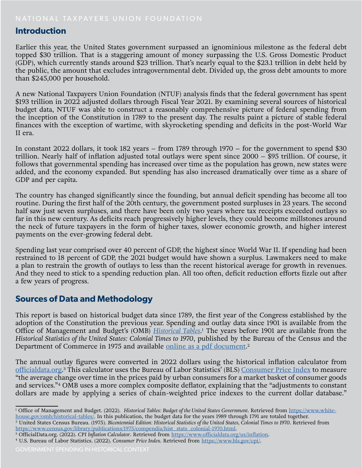### **Introduction**

Earlier this year, the United States government surpassed an ignominious milestone as the federal debt topped \$30 trillion. That is a staggering amount of money surpassing the U.S. Gross Domestic Product (GDP), which currently stands around \$23 trillion. That's nearly equal to the \$23.1 trillion in debt held by the public, the amount that excludes intragovernmental debt. Divided up, the gross debt amounts to more than \$245,000 per household.

A new National Taxpayers Union Foundation (NTUF) analysis finds that the federal government has spent \$193 trillion in 2022 adjusted dollars through Fiscal Year 2021. By examining several sources of historical budget data, NTUF was able to construct a reasonably comprehensive picture of federal spending from the inception of the Constitution in 1789 to the present day. The results paint a picture of stable federal finances with the exception of wartime, with skyrocketing spending and deficits in the post-World War II era.

In constant 2022 dollars, it took 182 years – from 1789 through 1970 – for the government to spend \$30 trillion. Nearly half of inflation adjusted total outlays were spent since 2000 – \$95 trillion. Of course, it follows that governmental spending has increased over time as the population has grown, new states were added, and the economy expanded. But spending has also increased dramatically over time as a share of GDP and per capita.

The country has changed significantly since the founding, but annual deficit spending has become all too routine. During the first half of the 20th century, the government posted surpluses in 23 years. The second half saw just seven surpluses, and there have been only two years where tax receipts exceeded outlays so far in this new century. As deficits reach progressively higher levels, they could become millstones around the neck of future taxpayers in the form of higher taxes, slower economic growth, and higher interest payments on the ever-growing federal debt.

Spending last year comprised over 40 percent of GDP, the highest since World War II. If spending had been restrained to 18 percent of GDP, the 2021 budget would have shown a surplus. Lawmakers need to make a plan to restrain the growth of outlays to less than the recent historical average for growth in revenues. And they need to stick to a spending reduction plan. All too often, deficit reduction efforts fizzle out after a few years of progress.

## **Sources of Data and Methodology**

This report is based on historical budget data since 1789, the first year of the Congress established by the adoption of the Constitution the previous year. Spending and outlay data since 1901 is available from the Office of Management and Budget's (OMB) *[Historical Tables](https://www.whitehouse.gov/omb/historical-tables/)*.<sup>1</sup> The years before 1901 are available from the *Historical Statistics of the United States: Colonial Times to 1970*, published by the Bureau of the Census and the Department of Commerce in 1975 and available <u>online as a pdf document</u>.<sup>2</sup>

The annual outlay figures were converted in 2022 dollars using the historical inflation calculator from [officialdata.org](https://www.officialdata.org/us/inflation). 3 This calculator uses the Bureau of Labor Statistics' (BLS) [Consumer Price Index](https://www.bls.gov/cpi/) to measure "the average change over time in the prices paid by urban consumers for a market basket of consumer goods and services."4 OMB uses a more complex composite deflator, explaining that the "adjustments to constant dollars are made by applying a series of chain-weighted price indexes to the current dollar database."

<sup>&</sup>lt;sup>1</sup> Office of Management and Budget. (2022). *Historical Tables: Budget of the United States Government*. Retrieved from [https://www.white](https://www.whitehouse.gov/omb/historical-tables/)-

house.gov/omb/historical-tables/. In this publication, the budget data for the years 1989 through 1791 are totaled together.<br><sup>2</sup> United States Census Bureau. (1975). Bicentennial Edition: Historical Statistics of the Unite [https://www.census.gov/library/publications/1975/compendia/hist\\_stats\\_colonial-1970.html](https://www.census.gov/library/publications/1975/compendia/hist_stats_colonial-1970.html).

<sup>3</sup> OfficialData.org. (2022). *CPI Inflation Calculator*. Retrieved from <https://www.officialdata.org/us/inflation>.

<sup>4</sup> U.S. Bureau of Labor Statistics. (2022). *Consumer Price Index*. Retrieved from <https://www.bls.gov/cpi/>.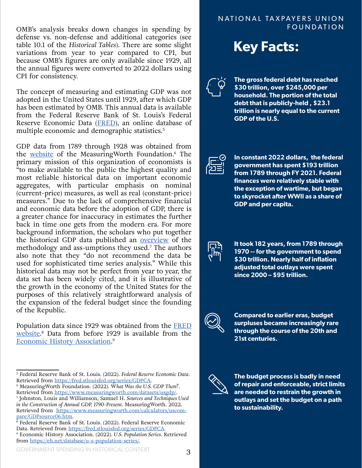OMB's analysis breaks down changes in spending by defense vs. non-defense and additional categories (see table 10.1 of the *Historical Tables*). There are some slight variations from year to year compared to CPI, but because OMB's figures are only available since 1929, all the annual figures were converted to 2022 dollars using CPI for consistency.

The concept of measuring and estimating GDP was not adopted in the United States until 1929, after which GDP has been estimated by OMB. This annual data is available from the Federal Reserve Bank of St. Louis's Federal Reserve Economic Data ([FRED](https://fred.stlouisfed.org/series/GDPCA)), an online database of multiple economic and demographic statistics.<sup>5</sup>

GDP data from 1789 through 1928 was obtained from the [website](https://www.measuringworth.com/datasets/usgdp/) of the MeasuringWorth Foundation.<sup>6</sup> The primary mission of this organization of economists is <sup>a</sup> to make available to the public the highest quality and most reliable historical data on important economic aggregates, with particular emphasis on nominal (current-price) measures, as well as real (constant-price) measures." Due to the lack of comprehensive financial and economic data before the adoption of GDP, there is a greater chance for inaccuracy in estimates the further back in time one gets from the modern era. For more background information, the scholars who put together the historical GDP data published an [overview](https://www.measuringworth.com/calculators/uscompare/GDPsource06.htm) of the methodology and ass-umptions they used.<sup>7</sup> The authors also note that they "do not recommend the data be used for sophisticated time series analysis." While this historical data may not be perfect from year to year, the data set has been widely cited, and it is illustrative of the growth in the economy of the United States for the purposes of this relatively straightforward analysis of the expansion of the federal budget since the founding of the Republic.

Population data since 1929 was obtained from the [FRED](https://fred.stlouisfed.org/series/B230RC0A052NBEA) [website](https://fred.stlouisfed.org/series/B230RC0A052NBEA). <sup>8</sup> Data from before 1929 is available from the [Economic History Association.](https://eh.net/databases) 9

#### NATIONAL TAXPAYERS UNION FOUNDATION





**The gross federal debt has reached \$30 trillion, over \$245,000 per household. The portion of the total debt that is publicly-held , \$23.1 trillion is nearly equal to the current GDP of the U.S.**



**In constant 2022 dollars, the federal government has spent \$193 trillion from 1789 through FY 2021. Federal finances were relatively stable with the exception of wartime, but began to skyrocket after WWII as a share of GDP and per capita.**



**It took 182 years, from 1789 through 1970 -- for the government to spend \$30 trillion. Nearly half of inflation adjusted total outlays were spent since 2000 – \$95 trillion.**



**Compared to earlier eras, budget surpluses became increasingly rare through the course of the 20th and 21st centuries.** 



**The budget process is badly in need of repair and enforceable, strict limits are needed to restrain the growth in outlays and set the budget on a path to sustainability.** 

<sup>5</sup> Federal Reserve Bank of St. Louis. (2022). *Federal Reserve Economic Data*. Retrieved from<https://fred.stlouisfed.org/series/GDPCA>.

<sup>6</sup> MeasuringWorth Foundation. (2022). *What Was the U.S. GDP Then?*. Retrieved from <https://www.measuringworth.com/datasets/usgdp/>.

<sup>7</sup> Johnston, Louis and Williamson, Samuel H. *Sources and Techniques Used in the Construction of Annual GDP, 1790-Present*. MeasuringWorth. 2022. Retrieved from [https://www.measuringworth.com/calculators/uscom](https://www.measuringworth.com/calculators/uscompare/GDPsource06.htm)[pare/GDPsource06.htm](https://www.measuringworth.com/calculators/uscompare/GDPsource06.htm).

 $8$  Federal Reserve Bank of St. Louis. (2022). Federal Reserve Economic Data. Retrieved from <https://fred.stlouisfed.org/series/GDPCA>.

<sup>9</sup> Economic History Association. (2022). *U.S. Population Series*. Retrieved from <https://eh.net/database/u-s-population-series/>.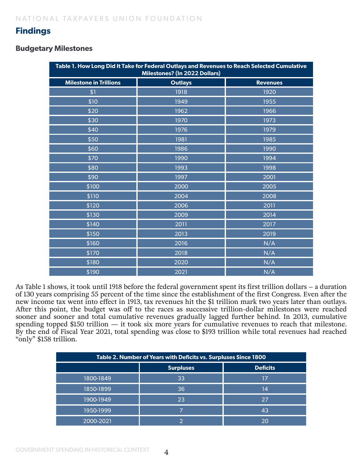## **Findings**

#### **Budgetary Milestones**

| Table 1. How Long Did It Take for Federal Outlays and Revenues to Reach Selected Cumulative<br>Milestones? (In 2022 Dollars) |                |                 |  |  |
|------------------------------------------------------------------------------------------------------------------------------|----------------|-----------------|--|--|
| <b>Milestone in Trillions</b>                                                                                                | <b>Outlays</b> | <b>Revenues</b> |  |  |
| \$1                                                                                                                          | 1918           | 1920            |  |  |
| \$10                                                                                                                         | 1949           | 1955            |  |  |
| \$20                                                                                                                         | 1962           | 1966            |  |  |
| \$30                                                                                                                         | 1970           | 1973            |  |  |
| \$40                                                                                                                         | 1976           | 1979            |  |  |
| \$50                                                                                                                         | 1981           | 1985            |  |  |
| \$60                                                                                                                         | 1986           | 1990            |  |  |
| \$70                                                                                                                         | 1990           | 1994            |  |  |
| \$80                                                                                                                         | 1993           | 1998            |  |  |
| \$90                                                                                                                         | 1997           | 2001            |  |  |
| \$100                                                                                                                        | 2000           | 2005            |  |  |
| \$110                                                                                                                        | 2004           | 2008            |  |  |
| \$120                                                                                                                        | 2006           | 2011            |  |  |
| \$130                                                                                                                        | 2009           | 2014            |  |  |
| \$140                                                                                                                        | 2011           | 2017            |  |  |
| \$150                                                                                                                        | 2013           | 2019            |  |  |
| \$160                                                                                                                        | 2016           | N/A             |  |  |
| \$170                                                                                                                        | 2018           | N/A             |  |  |
| \$180                                                                                                                        | 2020           | N/A             |  |  |
| \$190                                                                                                                        | 2021           | N/A             |  |  |

As Table 1 shows, it took until 1918 before the federal government spent its first trillion dollars – a duration of 130 years comprising 55 percent of the time since the establishment of the first Congress. Even after the new income tax went into effect in 1913, tax revenues hit the \$1 trillion mark two years later than outlays. After this point, the budget was off to the races as successive trillion-dollar milestones were reached sooner and sooner and total cumulative revenues gradually lagged further behind. In 2013, cumulative spending topped \$150 trillion  $-$  it took six more years for cumulative revenues to reach that milestone. By the end of Fiscal Year 2021, total spending was close to \$193 trillion while total revenues had reached "only" \$158 trillion.

| Table 2. Number of Years with Deficits vs. Surpluses Since 1800 |                  |                 |  |  |
|-----------------------------------------------------------------|------------------|-----------------|--|--|
|                                                                 | <b>Surpluses</b> | <b>Deficits</b> |  |  |
| 1800-1849                                                       | 33               | 17              |  |  |
| 1850-1899                                                       | 36               | 14              |  |  |
| 1900-1949                                                       | 23               | 27              |  |  |
| 1950-1999                                                       |                  | 43              |  |  |
| 2000-2021                                                       |                  | 20              |  |  |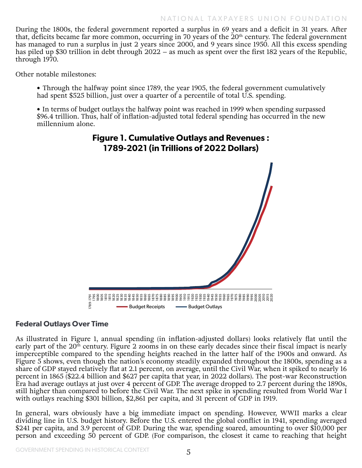During the 1800s, the federal government reported a surplus in 69 years and a deficit in 31 years. After that, deficits became far more common, occurring in 70 years of the 20th century. The federal government has managed to run a surplus in just 2 years since 2000, and 9 years since 1950. All this excess spending has piled up \$30 trillion in debt through 2022 – as much as spent over the first 182 years of the Republic, through 1970.

Other notable milestones:

• Through the halfway point since 1789, the year 1905, the federal government cumulatively had spent \$525 billion, just over a quarter of a percentile of total U.S. spending.

• In terms of budget outlays the halfway point was reached in 1999 when spending surpassed \$96.4 trillion. Thus, half of inflation-adjusted total federal spending has occurred in the new millennium alone.

# **Figure 1. Cumulative Outlays and Revenues : 1789-2021 (in Trillions of 2022 Dollars)**



#### **Federal Outlays Over Time**

As illustrated in Figure 1, annual spending (in inflation-adjusted dollars) looks relatively flat until the early part of the 20<sup>th</sup> century. Figure 2 zooms in on these early decades since their fiscal impact is nearly imperceptible compared to the spending heights reached in the latter half of the 1900s and onward. As Figure 5 shows, even though the nation's economy steadily expanded throughout the 1800s, spending as a share of GDP stayed relatively flat at 2.1 percent, on average, until the Civil War, when it spiked to nearly 16 percent in 1865 (\$22.4 billion and \$627 per capita that year, in 2022 dollars). The post-war Reconstruction Era had average outlays at just over 4 percent of GDP. The average dropped to 2.7 percent during the 1890s, still higher than compared to before the Civil War. The next spike in spending resulted from World War I with outlays reaching \$301 billion, \$2,861 per capita, and 31 percent of GDP in 1919.

In general, wars obviously have a big immediate impact on spending. However, WWII marks a clear dividing line in U.S. budget history. Before the U.S. entered the global conflict in 1941, spending averaged \$241 per capita, and 3.9 percent of GDP. During the war, spending soared, amounting to over \$10,000 per person and exceeding 50 percent of GDP. (For comparison, the closest it came to reaching that height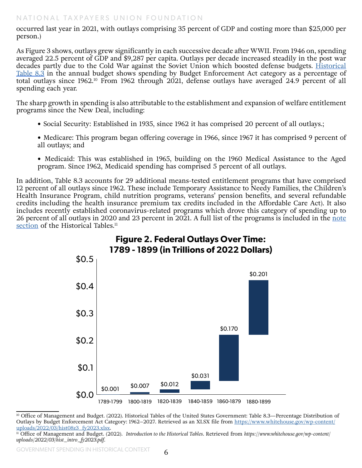occurred last year in 2021, with outlays comprising 35 percent of GDP and costing more than \$25,000 per person.)

As Figure 3 shows, outlays grew significantly in each successive decade after WWII. From 1946 on, spending averaged 22.5 percent of GDP and \$9,287 per capita. Outlays per decade increased steadily in the post war decades partly due to the Cold War against the Soviet Union which boosted defense budgets. Historical [Table 8.3](https://www.whitehouse.gov/omb/budget/historical-tables/) in the annual budget shows spending by Budget Enforcement Act category as a percentage of total outlays since 1962.<sup>10</sup> From 1962 through 2021, defense outlays have averaged 24.9 percent of all spending each year.

The sharp growth in spending is also attributable to the establishment and expansion of welfare entitlement programs since the New Deal, including:

- Social Security: Established in 1935, since 1962 it has comprised 20 percent of all outlays.;
- Medicare: This program began offering coverage in 1966, since 1967 it has comprised 9 percent of all outlays; and
- Medicaid: This was established in 1965, building on the 1960 Medical Assistance to the Aged program. Since 1962, Medicaid spending has comprised 5 percent of all outlays.

In addition, Table 8.3 accounts for 29 additional means-tested entitlement programs that have comprised 12 percent of all outlays since 1962. These include Temporary Assistance to Needy Families, the Children's Health Insurance Program, child nutrition programs, veterans' pension benefits, and several refundable credits including the health insurance premium tax credits included in the Affordable Care Act). It also includes recently established coronavirus-related programs which drove this category of spending up to 26 percent of all outlays in 2020 and 23 percent in 2021. A full list of the programs is included in the [note](https://www.whitehouse.gov/wp-content/uploads/2022/03/hist_intro_fy2023.pdf)  [section](https://www.whitehouse.gov/wp-content/uploads/2022/03/hist_intro_fy2023.pdf) of the Historical Tables.<sup>11</sup>



<sup>10</sup> Office of Management and Budget. (2022). Historical Tables of the United States Government: Table 8.3—Percentage Distribution of Outlays by Budget Enforcement Act Category: 1962-2027. Retrieved as an XLSX file from [https://www.whitehouse.gov/wp-content/](https://www.whitehouse.gov/wp-content/uploads/2022/03/hist08z3_fy2023.xlsx) [uploads/2022/03/hist08z3\\_fy2023.xlsx](https://www.whitehouse.gov/wp-content/uploads/2022/03/hist08z3_fy2023.xlsx).

<sup>11</sup> Office of Management and Budget. (2022). *Introduction to the Historical Tables*. Retrieved from *https://www.whitehouse.gov/wp-content/ uploads/2022/03/hist\_intro\_fy2023.pdf*.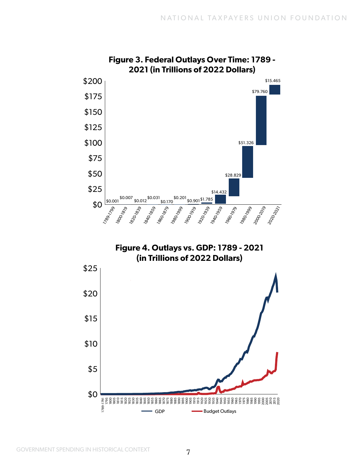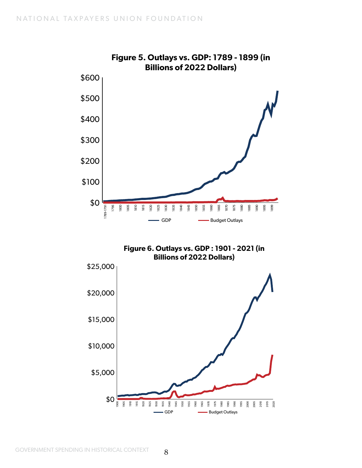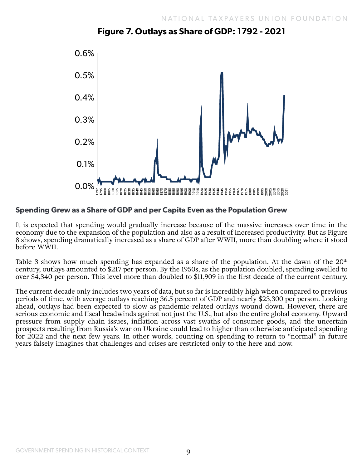

## **Figure 7. Outlays as Share of GDP: 1792 - 2021**

#### **Spending Grew as a Share of GDP and per Capita Even as the Population Grew**

It is expected that spending would gradually increase because of the massive increases over time in the economy due to the expansion of the population and also as a result of increased productivity. But as Figure 8 shows, spending dramatically increased as a share of GDP after WWII, more than doubling where it stood before WWII.

Table 3 shows how much spending has expanded as a share of the population. At the dawn of the  $20<sup>th</sup>$ century, outlays amounted to \$217 per person. By the 1950s, as the population doubled, spending swelled to over \$4,340 per person. This level more than doubled to \$11,909 in the first decade of the current century.

The current decade only includes two years of data, but so far is incredibly high when compared to previous periods of time, with average outlays reaching 36.5 percent of GDP and nearly \$23,300 per person. Looking ahead, outlays had been expected to slow as pandemic-related outlays wound down. However, there are serious economic and fiscal headwinds against not just the U.S., but also the entire global economy. Upward pressure from supply chain issues, inflation across vast swaths of consumer goods, and the uncertain prospects resulting from Russia's war on Ukraine could lead to higher than otherwise anticipated spending for 2022 and the next few years. In other words, counting on spending to return to "normal" in future years falsely imagines that challenges and crises are restricted only to the here and now.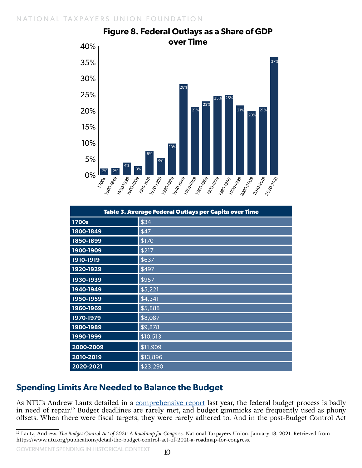

| Figure 8. Federal Outlays as a Share of GDP |  |  |  |
|---------------------------------------------|--|--|--|
| over Time                                   |  |  |  |
|                                             |  |  |  |

| Table 3. Average Federal Outlays per Capita over Time |          |  |
|-------------------------------------------------------|----------|--|
| 1700s                                                 | \$34     |  |
| 1800-1849                                             | \$47     |  |
| 1850-1899                                             | \$170    |  |
| 1900-1909                                             | \$217    |  |
| 1910-1919                                             | \$637    |  |
| 1920-1929                                             | \$497    |  |
| 1930-1939                                             | \$957    |  |
| 1940-1949                                             | \$5,221  |  |
| 1950-1959                                             | \$4,341  |  |
| 1960-1969                                             | \$5,888  |  |
| 1970-1979                                             | \$8,087  |  |
| 1980-1989                                             | \$9,878  |  |
| 1990-1999                                             | \$10,513 |  |
| 2000-2009                                             | \$11,909 |  |
| 2010-2019                                             | \$13,896 |  |
| 2020-2021                                             | \$23,290 |  |

# **Spending Limits Are Needed to Balance the Budget**

As NTU's Andrew Lautz detailed in a [comprehensive report](https://www.ntu.org/publications/detail/the-budget-control-act-of-2021-a-roadmap-for-congress) last year, the federal budget process is badly in need of repair.<sup>12</sup> Budget deadlines are rarely met, and budget gimmicks are frequently used as phony offsets. When there were fiscal targets, they were rarely adhered to. And in the post-Budget Control Act

GOVERNMENT SPENDING IN HISTORICAL CONTEXT

<sup>12</sup> Lautz, Andrew. *The Budget Control Act of 2021: A Roadmap for Congress*. National Taxpayers Union. January 13, 2021. Retrieved from https://www.ntu.org/publications/detail/the-budget-control-act-of-2021-a-roadmap-for-congress.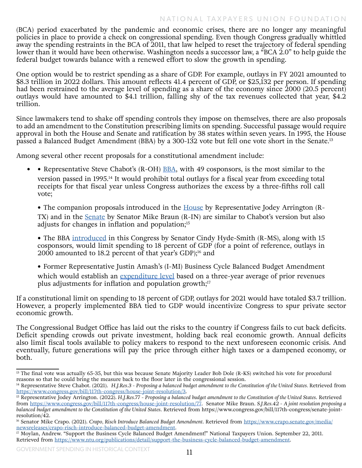(BCA) period exacerbated by the pandemic and economic crises, there are no longer any meaningful policies in place to provide a check on congressional spending. Even though Congress gradually whittled away the spending restraints in the BCA of 2011, that law helped to reset the trajectory of federal spending lower than it would have been otherwise. Washington needs a successor law, a "BCA 2.0" to help guide the federal budget towards balance with a renewed effort to slow the growth in spending.

One option would be to restrict spending as a share of GDP. For example, outlays in FY 2021 amounted to \$8.3 trillion in 2022 dollars. This amount reflects 41.4 percent of GDP, or \$25,132 per person. If spending had been restrained to the average level of spending as a share of the economy since 2000 (20.5 percent) outlays would have amounted to \$4.1 trillion, falling shy of the tax revenues collected that year, \$4.2 trillion.

Since lawmakers tend to shake off spending controls they impose on themselves, there are also proposals to add an amendment to the Constitution prescribing limits on spending. Successful passage would require approval in both the House and Senate and ratification by 38 states within seven years. In 1995, the House passed a Balanced Budget Amendment (BBA) by a 300-132 vote but fell one vote short in the Senate.<sup>13</sup>

Among several other recent proposals for a constitutional amendment include:

• Representative Steve Chabot's (R-OH) **[BBA](https://www.congress.gov/bill/117th-congress/house-joint-resolution/3)**, with 49 cosponsors, is the most similar to the version passed in 1995.<sup>14</sup> It would prohibit total outlays for a fiscal year from exceeding total receipts for that fiscal year unless Congress authorizes the excess by a three-fifths roll call vote;

• The companion proposals introduced in the **House** by Representative Jodey Arrington (R-TX) and in the [Senate](https://www.congress.gov/bill/117th-congress/senate-joint-resolution/42) by Senator Mike Braun (R-IN) are similar to Chabot's version but also adjusts for changes in inflation and population;<sup>15</sup>

• The BBA [introduced](https://www.crapo.senate.gov/media/newsreleases/crapo-risch-introduce-balanced-budget-amendment) in this Congress by Senator Cindy Hyde-Smith (R-MS), along with 15 cosponsors, would limit spending to 18 percent of GDP (for a point of reference, outlays in 2000 amounted to 18.2 percent of that year's GDP); $^{16}$  and

• Former Representative Justin Amash's (I-MI) Business Cycle Balanced Budget Amendment which would establish an [expenditure level](https://www.ntu.org/publications/detail/support-the-business-cycle-balanced-budget-amendment) based on a three-year average of prior revenues plus adjustments for inflation and population growth; $17$ 

If a constitutional limit on spending to 18 percent of GDP, outlays for 2021 would have totaled \$3.7 trillion. However, a properly implemented BBA tied to GDP would incentivize Congress to spur private sector economic growth.

The Congressional Budget Office has laid out the risks to the country if Congress fails to cut back deficits. Deficit spending crowds out private investment, holding back real economic growth. Annual deficits also limit fiscal tools available to policy makers to respond to the next unforeseen economic crisis. And eventually, future generations will pay the price through either high taxes or a dampened economy, or both.

<sup>&</sup>lt;sup>13</sup> The final vote was actually 65-35, but this was because Senate Majority Leader Bob Dole (R-KS) switched his vote for procedural reasons so that he could bring the measure back to the floor later in the congressional session.

<sup>&</sup>lt;sup>14</sup> Representative Steve Chabot. (2021). *H.J.Res.3 - Proposing a balanced budget amendment to the Constitution of the United States. Retrieved from* <https://www.congress.gov/bill/117th-congress/house-joint-resolution/3>.

<sup>&</sup>lt;sup>15</sup> Representative Jodey Arrington. (2022). H.J.Res.77 - Proposing a balanced budget amendment to the Constitution of the United States. Retrieved from [https://www.congress.gov/bill/117th-congress/house-joint-resolution/77.](https://www.congress.gov/bill/117th-congress/house-joint-resolution/77) Senator Mike Braun. *S.J.Res.42 - A joint resolution proposing a balanced budget amendment to the Constitution of the United States*. Retrieved from https://www.congress.gov/bill/117th-congress/senate-jointresolution/42.

<sup>&</sup>lt;sup>16</sup> Senator Mike Crapo. (2021). *Crapo*, Risch Introduce Balanced Budget Amendment. Retrieved from [https://www.crapo.senate.gov/media/](https://www.crapo.senate.gov/media/newsreleases/crapo-risch-introduce-balanced-budget-amendment) [newsreleases/crapo-risch-introduce-balanced-budget-amendment](https://www.crapo.senate.gov/media/newsreleases/crapo-risch-introduce-balanced-budget-amendment).

<sup>&</sup>lt;sup>17</sup> Moylan, Andrew. "Support the Business Cycle Balanced Budget Amendment!" National Taxpayers Union. September 22, 2011. Retrieved from<https://www.ntu.org/publications/detail/support-the-business-cycle-balanced-budget-amendment>.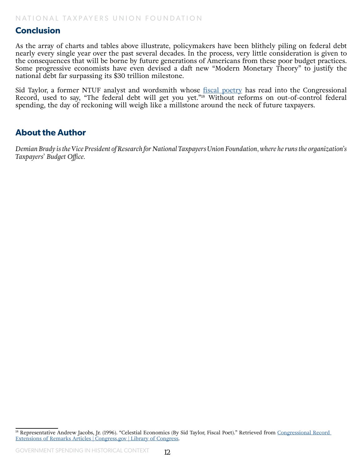#### **Conclusion**

As the array of charts and tables above illustrate, policymakers have been blithely piling on federal debt nearly every single year over the past several decades. In the process, very little consideration is given to the consequences that will be borne by future generations of Americans from these poor budget practices. Some progressive economists have even devised a daft new "Modern Monetary Theory" to justify the national debt far surpassing its \$30 trillion milestone.

Sid Taylor, a former NTUF analyst and wordsmith whose [fiscal poetry](https://www.congress.gov/congressional-record/1996/3/6/extensions-of-remarks-section/article/e287-2?q=%7B%22search%22%3A%5B%22%5C%22Sid+Taylor%5C%22%22%2C%22%5C%22Sid%22%2C%22Taylor%5C%22%22%5D%7D&s=3&r=1) has read into the Congressional Record, used to say, "The federal debt will get you yet."18 Without reforms on out-of-control federal spending, the day of reckoning will weigh like a millstone around the neck of future taxpayers.

#### **About the Author**

*Demian Brady is the Vice President of Research for National Taxpayers Union Foundation, where he runs the organization's Taxpayers' Budget Office.* 

<sup>&</sup>lt;sup>18</sup> Representative Andrew Jacobs, Jr. (1996). "Celestial Economics (By Sid Taylor, Fiscal Poet)." Retrieved from Congressional Record [Extensions of Remarks Articles | Congress.gov | Library of Congress](https://www.congress.gov/congressional-record/1996/3/6/extensions-of-remarks-section/article/e287-2?q=%7B%22search%22%3A%5B%22%5C%22Sid+Taylor%5C%22%22%2C%22%5C%22Sid%22%2C%22Taylor%5C%22%22%5D%7D&s=3&r=1).